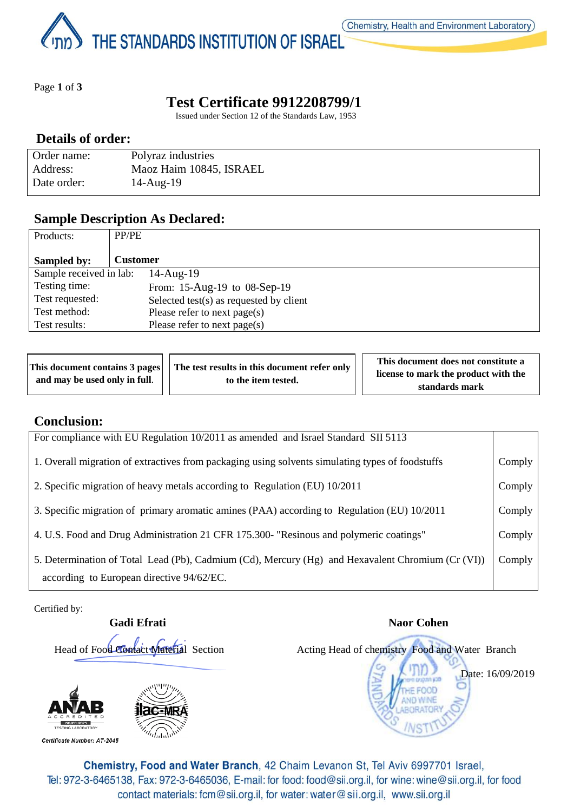THE STANDARDS INSTITUTION OF ISRAEL

Page **1** of **3**

# **Test Certificate 9912208799/1**

Issued under Section 12 of the Standards Law, 1953

### **Details of order:**

| Order name: | Polyraz industries      |
|-------------|-------------------------|
| Address:    | Maoz Haim 10845, ISRAEL |
| Date order: | $14$ -Aug- $19$         |

## **Sample Description As Declared:**

| Products:               | PP/PE                                   |
|-------------------------|-----------------------------------------|
|                         |                                         |
| Sampled by:             | Customer                                |
| Sample received in lab: | $14$ -Aug- $19$                         |
| Testing time:           | From: 15-Aug-19 to 08-Sep-19            |
| Test requested:         | Selected test(s) as requested by client |
| Test method:            | Please refer to next page(s)            |
| Test results:           | Please refer to next page(s)            |

| This document contains 3 pages<br>and may be used only in full. | The test results in this document refer only<br>to the item tested. | This document does not constitute a<br>license to mark the product with the<br>standards mark |
|-----------------------------------------------------------------|---------------------------------------------------------------------|-----------------------------------------------------------------------------------------------|
|-----------------------------------------------------------------|---------------------------------------------------------------------|-----------------------------------------------------------------------------------------------|

### **Conclusion:**

| For compliance with EU Regulation 10/2011 as amended and Israel Standard SII 5113                 |        |
|---------------------------------------------------------------------------------------------------|--------|
| 1. Overall migration of extractives from packaging using solvents simulating types of foodstuffs  | Comply |
| 2. Specific migration of heavy metals according to Regulation (EU) 10/2011                        | Comply |
| 3. Specific migration of primary aromatic amines (PAA) according to Regulation (EU) 10/2011       | Comply |
| 4. U.S. Food and Drug Administration 21 CFR 175.300- "Resinous and polymeric coatings"            | Comply |
| 5. Determination of Total Lead (Pb), Cadmium (Cd), Mercury (Hg) and Hexavalent Chromium (Cr (VI)) | Comply |
| according to European directive 94/62/EC.                                                         |        |

Certified by:



Chemistry, Food and Water Branch, 42 Chaim Levanon St, Tel Aviv 6997701 Israel, Tel: 972-3-6465138, Fax: 972-3-6465036, E-mail: for food: food@sii.org.il, for wine: wine@sii.org.il, for food contact materials: fcm@sii.org.il, for water: water@sii.org.il, www.sii.org.il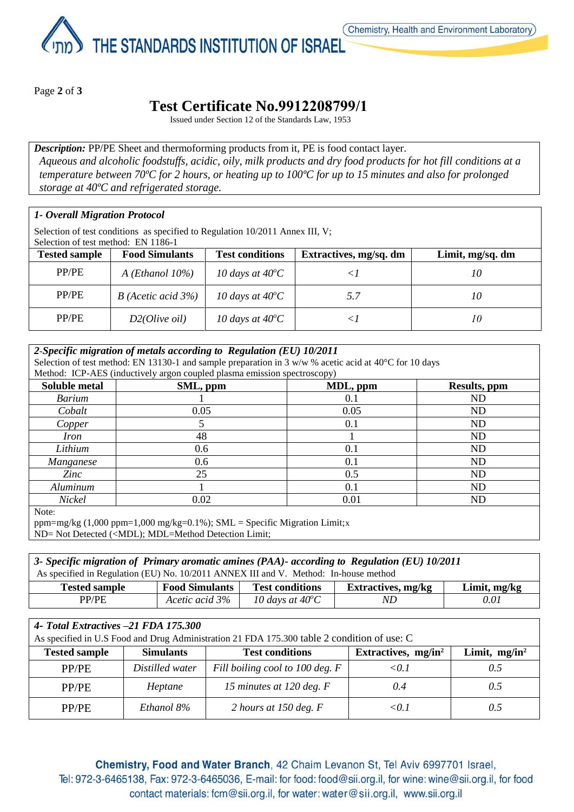

THE STANDARDS INSTITUTION OF ISRAEL

Page **2** of **3**

# **Test Certificate No.9912208799/1**

Issued under Section 12 of the Standards Law, 1953

*Description:* PP/PE Sheet and thermoforming products from it, PE is food contact layer. *Aqueous and alcoholic foodstuffs, acidic, oily, milk products and dry food products for hot fill conditions at a temperature between 70ºC for 2 hours, or heating up to 100ºC for up to 15 minutes and also for prolonged storage at 40ºC and refrigerated storage.*

#### *1- Overall Migration Protocol*

Selection of test conditions as specified to Regulation 10/2011 Annex III, V;

Selection of test method: EN 1186-1

| <b>Tested sample</b> | <b>Food Simulants</b> | <b>Test conditions</b>    | Extractives, mg/sq. dm | Limit, mg/sq. dm |
|----------------------|-----------------------|---------------------------|------------------------|------------------|
| PP/PE                | A (Ethanol $10\%$ )   | 10 days at $40^{\circ}$ C |                        | 10               |
| PP/PE                | $B$ (Acetic acid 3%)  | 10 days at $40^{\circ}$ C | 5.7                    | 10               |
| PP/PE                | D2(Olive oil)         | 10 days at $40^{\circ}$ C |                        | 10               |

#### *2-Specific migration of metals according to Regulation (EU) 10/2011*

Selection of test method: EN 13130-1 and sample preparation in 3  $w/w$  % acetic acid at 40 $^{\circ}$ C for 10 days

Method: ICP-AES (inductively argon coupled plasma emission spectroscopy)

| Soluble metal | SML, ppm | MDL, ppm | Results, ppm |
|---------------|----------|----------|--------------|
| <b>Barium</b> |          | 0.1      | <b>ND</b>    |
| Cobalt        | 0.05     | 0.05     | <b>ND</b>    |
| Copper        |          | 0.1      | <b>ND</b>    |
| <i>Iron</i>   | 48       |          | ND           |
| Lithium       | 0.6      | 0.1      | ND           |
| Manganese     | 0.6      | 0.1      | <b>ND</b>    |
| Zinc          | 25       | 0.5      | <b>ND</b>    |
| Aluminum      |          | 0.1      | <b>ND</b>    |
| Nickel        | 0.02     | 0.01     | <b>ND</b>    |
| $NT - 1$      |          |          |              |

Note:

ppm=mg/kg (1,000 ppm=1,000 mg/kg=0.1%); SML = Specific Migration Limit;x

ND= Not Detected (<MDL); MDL=Method Detection Limit;

*3- Specific migration of Primary aromatic amines (PAA)- according to Regulation (EU) 10/2011* As specified in Regulation (EU) No. 10/2011 ANNEX III and V. Method: In-house method

| <b>Tested sample</b> | <b>Food Simulants</b> | <b>Test conditions</b>    | <b>Extractives, mg/kg</b> | Limit, mg/kg |
|----------------------|-----------------------|---------------------------|---------------------------|--------------|
| DD/DE                | Acetic acid 3%        | 10 days at $40^{\circ}$ C | NL                        | 0.01         |

### *4- Total Extractives –21 FDA 175.300*

| As specified in U.S Food and Drug Administration 21 FDA 175.300 table 2 condition of use: C |                  |                                 |                        |                  |
|---------------------------------------------------------------------------------------------|------------------|---------------------------------|------------------------|------------------|
| <b>Tested sample</b>                                                                        | <b>Simulants</b> | <b>Test conditions</b>          | Extractives, $mg/in^2$ | Limit, $mg/in^2$ |
| PP/PE                                                                                       | Distilled water  | Fill boiling cool to 100 deg. F | < 0.1                  | 0.5              |
| PP/PE                                                                                       | Heptane          | 15 minutes at 120 deg. F        | 0.4                    | 0.5              |
| PP/PE                                                                                       | Ethanol 8%       | 2 hours at 150 deg. $F$         | < 0.1                  | 0.5              |

Chemistry, Food and Water Branch, 42 Chaim Levanon St, Tel Aviv 6997701 Israel, Tel: 972-3-6465138, Fax: 972-3-6465036, E-mail: for food: food@sii.org.il, for wine: wine@sii.org.il, for food contact materials: fcm@sii.org.il, for water: water@sii.org.il, www.sii.org.il